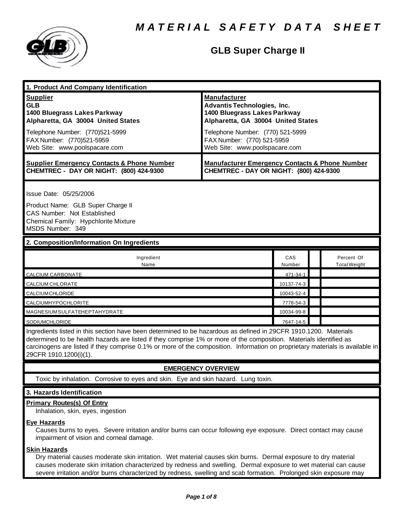

| 1. Product And Company Identification                                                                                                                                                                                                  |                                                                                                                                 |               |  |                                   |  |
|----------------------------------------------------------------------------------------------------------------------------------------------------------------------------------------------------------------------------------------|---------------------------------------------------------------------------------------------------------------------------------|---------------|--|-----------------------------------|--|
| <b>Supplier</b><br><b>GLB</b><br>1400 Bluegrass Lakes Parkway<br>Alpharetta, GA 30004 United States                                                                                                                                    | <b>Manufacturer</b><br><b>Advantis Technologies, Inc.</b><br>1400 Bluegrass Lakes Parkway<br>Alpharetta, GA 30004 United States |               |  |                                   |  |
| Telephone Number: (770)521-5999<br>FAX Number: (770)521-5959<br>Web Site: www.poolspacare.com                                                                                                                                          | Telephone Number: (770) 521-5999<br>FAX Number: (770) 521-5959<br>Web Site: www.poolspacare.com                                 |               |  |                                   |  |
| <b>Supplier Emergency Contacts &amp; Phone Number</b><br>CHEMTREC - DAY OR NIGHT: (800) 424-9300                                                                                                                                       | <b>Manufacturer Emergency Contacts &amp; Phone Number</b><br>CHEMTREC - DAY OR NIGHT: (800) 424-9300                            |               |  |                                   |  |
| Issue Date: 05/25/2006                                                                                                                                                                                                                 |                                                                                                                                 |               |  |                                   |  |
| Product Name: GLB Super Charge II<br><b>CAS Number: Not Established</b><br>Chemical Family: Hypchlorite Mixture<br>MSDS Number: 349                                                                                                    |                                                                                                                                 |               |  |                                   |  |
| 2. Composition/Information On Ingredients                                                                                                                                                                                              |                                                                                                                                 |               |  |                                   |  |
| Ingredient<br>Name                                                                                                                                                                                                                     |                                                                                                                                 | CAS<br>Number |  | Percent Of<br><b>Total Weight</b> |  |
| CALCIUM CARBONATE                                                                                                                                                                                                                      |                                                                                                                                 | 471-34-1      |  |                                   |  |
| CALCIUM CHLORATE                                                                                                                                                                                                                       |                                                                                                                                 | 10137-74-3    |  |                                   |  |
| CALCIUMCHLORIDE                                                                                                                                                                                                                        |                                                                                                                                 | 10043-52-4    |  |                                   |  |
| CALCIUMHYPOCHLORITE                                                                                                                                                                                                                    |                                                                                                                                 | 7778-54-3     |  |                                   |  |
| MAGNESIUMSULFATEHEPTAHYDRATE                                                                                                                                                                                                           |                                                                                                                                 | 10034-99-8    |  |                                   |  |
| SODIUMCHLORIDE                                                                                                                                                                                                                         |                                                                                                                                 | 7647-14-5     |  |                                   |  |
| Ingredients listed in this section have been determined to be hazardous as defined in 29CFR 1910.1200. Materials<br>determined to be health hazards are listed if they comprise 1% or more of the composition. Materials identified as |                                                                                                                                 |               |  |                                   |  |

carcinogens are listed if they comprise 0.1% or more of the composition. Information on proprietary materials is available in 29CFR 1910.1200(i)(1).

# **EMERGENCY OVERVIEW**

Toxic by inhalation. Corrosive to eyes and skin. Eye and skin hazard. Lung toxin.

# **3. Hazards Identification**

# **Primary Routes(s) Of Entry**

Inhalation, skin, eyes, ingestion

# **Eye Hazards**

Causes burns to eyes. Severe irritation and/or burns can occur following eye exposure. Direct contact may cause impairment of vision and corneal damage.

# **Skin Hazards**

Dry material causes moderate skin irritation. Wet material causes skin burns. Dermal exposure to dry material causes moderate skin irritation characterized by redness and swelling. Dermal exposure to wet material can cause severe irritation and/or burns characterized by redness, swelling and scab formation. Prolonged skin exposure may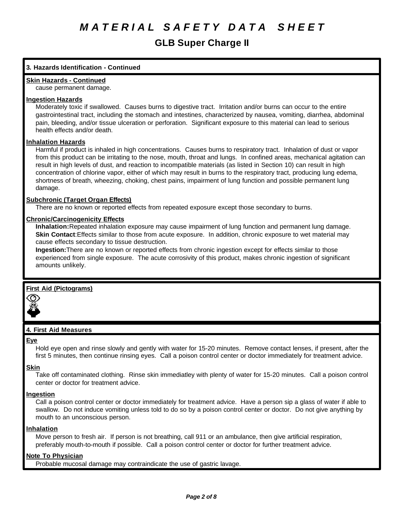# **3. Hazards Identification - Continued**

# **Skin Hazards - Continued**

cause permanent damage.

### **Ingestion Hazards**

Moderately toxic if swallowed. Causes burns to digestive tract. Irritation and/or burns can occur to the entire gastrointestinal tract, including the stomach and intestines, characterized by nausea, vomiting, diarrhea, abdominal pain, bleeding, and/or tissue ulceration or perforation. Significant exposure to this material can lead to serious health effects and/or death.

### **Inhalation Hazards**

Harmful if product is inhaled in high concentrations. Causes burns to respiratory tract. Inhalation of dust or vapor from this product can be irritating to the nose, mouth, throat and lungs. In confined areas, mechanical agitation can result in high levels of dust, and reaction to incompatible materials (as listed in Section 10) can result in high concentration of chlorine vapor, either of which may result in burns to the respiratory tract, producing lung edema, shortness of breath, wheezing, choking, chest pains, impairment of lung function and possible permanent lung damage.

### **Subchronic (Target Organ Effects)**

There are no known or reported effects from repeated exposure except those secondary to burns.

### **Chronic/Carcinogenicity Effects**

**Inhalation:**Repeated inhalation exposure may cause impairment of lung function and permanent lung damage. **Skin Contact**:Effects similar to those from acute exposure. In addition, chronic exposure to wet material may cause effects secondary to tissue destruction.

**Ingestion:**There are no known or reported effects from chronic ingestion except for effects similar to those experienced from single exposure. The acute corrosivity of this product, makes chronic ingestion of significant amounts unlikely.

# **First Aid (Pictograms)**



# **4. First Aid Measures**

#### **Eye**

Hold eye open and rinse slowly and gently with water for 15-20 minutes. Remove contact lenses, if present, after the first 5 minutes, then continue rinsing eyes. Call a poison control center or doctor immediately for treatment advice.

#### **Skin**

Take off contaminated clothing. Rinse skin immediatley with plenty of water for 15-20 minutes. Call a poison control center or doctor for treatment advice.

#### **Ingestion**

Call a poison control center or doctor immediately for treatment advice. Have a person sip a glass of water if able to swallow. Do not induce vomiting unless told to do so by a poison control center or doctor. Do not give anything by mouth to an unconscious person.

#### **Inhalation**

Move person to fresh air. If person is not breathing, call 911 or an ambulance, then give artificial respiration, preferably mouth-to-mouth if possible. Call a poison control center or doctor for further treatment advice.

# **Note To Physician**

Probable mucosal damage may contraindicate the use of gastric lavage.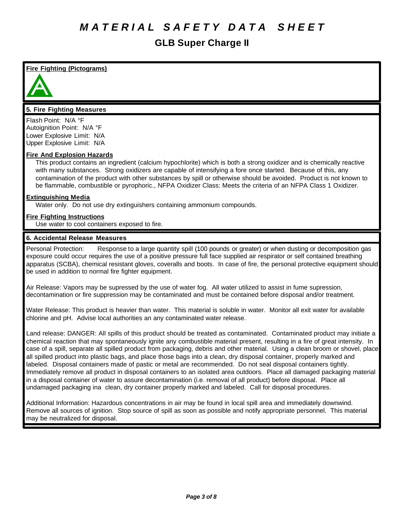# **Fire Fighting (Pictograms)**



# **5. Fire Fighting Measures**

Flash Point: N/A °F Autoignition Point: N/A °F Lower Explosive Limit: N/A Upper Explosive Limit: N/A

### **Fire And Explosion Hazards**

This product contains an ingredient (calcium hypochlorite) which is both a strong oxidizer and is chemically reactive with many substances. Strong oxidizers are capable of intensifying a fore once started. Because of this, any contamination of the product with other substances by spill or otherwise should be avoided. Product is not known to be flammable, combustible or pyrophoric., NFPA Oxidizer Class: Meets the criteria of an NFPA Class 1 Oxidizer.

### **Extinguishing Media**

Water only. Do not use dry extinguishers containing ammonium compounds.

# **Fire Fighting Instructions**

Use water to cool containers exposed to fire.

### **6. Accidental Release Measures**

Personal Protection: Response to a large quantity spill (100 pounds or greater) or when dusting or decomposition gas exposure could occur requires the use of a positive pressure full face supplied air respirator or self contained breathing apparatus (SCBA), chemical resistant gloves, coveralls and boots. In case of fire, the personal protective equipment should be used in addition to normal fire fighter equipment.

Air Release: Vapors may be supressed by the use of water fog. All water utilized to assist in fume supression, decontamination or fire suppression may be contaminated and must be contained before disposal and/or treatment.

Water Release: This product is heavier than water. This material is soluble in water. Monitor all exit water for available chlorine and pH. Advise local authorities an any contaminated water release.

Land release: DANGER: All spills of this product should be treated as contaminated. Contaminated product may initiate a chemical reaction that may spontaneously ignite any combustible material present, resulting in a fire of great intensity. In case of a spill, separate all spilled product from packaging, debris and other material. Using a clean broom or shovel, place all spilled product into plastic bags, and place those bags into a clean, dry disposal container, properly marked and labeled. Disposal containers made of pastic or metal are recommended. Do not seal disposal containers tightly. Immediately remove all product in disposal containers to an isolated area outdoors. Place all damaged packaging material in a disposal container of water to assure decontamination (i.e. removal of all product) before disposal. Place all undamaged packaging ina clean, dry container properly marked and labeled. Call for disposal procedures.

Additional Information: Hazardous concentrations in air may be found in local spill area and immediately downwind. Remove all sources of ignition. Stop source of spill as soon as possible and notify appropriate personnel. This material may be neutralized for disposal.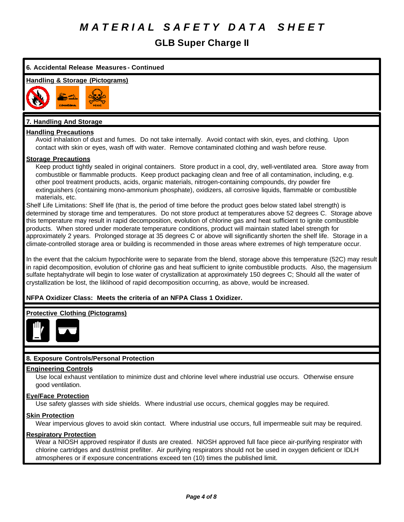# **GLB Super Charge II**



chlorine cartridges and dust/mist prefilter. Air purifying respirators should not be used in oxygen deficient or IDLH atmospheres or if exposure concentrations exceed ten (10) times the published limit.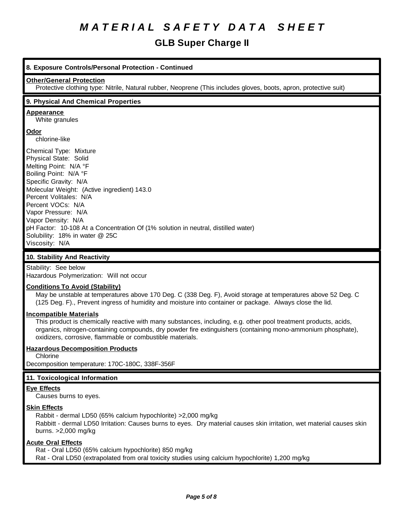# **GLB Super Charge II**

# **8. Exposure Controls/Personal Protection - Continued**

#### **Other/General Protection**

Protective clothing type: Nitrile, Natural rubber, Neoprene (This includes gloves, boots, apron, protective suit)

### **9. Physical And Chemical Properties**

#### **Appearance**

White granules

### **Odor**

chlorine-like

Chemical Type: Mixture Physical State: Solid Melting Point: N/A °F Boiling Point: N/A °F Specific Gravity: N/A Molecular Weight: (Active ingredient) 143.0 Percent Volitales: N/A Percent VOCs: N/A Vapor Pressure: N/A Vapor Density: N/A pH Factor: 10-108 At a Concentration Of (1% solution in neutral, distilled water) Solubility: 18% in water @ 25C Viscosity: N/A

# **10. Stability And Reactivity**

Stability: See below Hazardous Polymerization: Will not occur

#### **Conditions To Avoid (Stability)**

May be unstable at temperatures above 170 Deg. C (338 Deg. F), Avoid storage at temperatures above 52 Deg. C (125 Deg. F)., Prevent ingress of humidity and moisture into container or package. Always close the lid.

#### **Incompatible Materials**

This product is chemically reactive with many substances, including, e.g. other pool treatment products, acids, organics, nitrogen-containing compounds, dry powder fire extinguishers (containing mono-ammonium phosphate), oxidizers, corrosive, flammable or combustible materials.

# **Hazardous Decomposition Products**

Chlorine

Decomposition temperature: 170C-180C, 338F-356F

# **11. Toxicological Information**

#### **Eye Effects**

Causes burns to eyes.

#### **Skin Effects**

Rabbit - dermal LD50 (65% calcium hypochlorite) >2,000 mg/kg Rabbitt - dermal LD50 Irritation: Causes burns to eyes. Dry material causes skin irritation, wet material causes skin burns. >2,000 mg/kg

#### **Acute Oral Effects**

Rat - Oral LD50 (65% calcium hypochlorite) 850 mg/kg Rat - Oral LD50 (extrapolated from oral toxicity studies using calcium hypochlorite) 1,200 mg/kg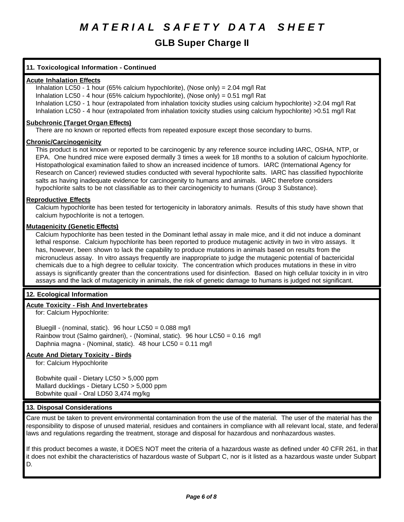# **11. Toxicological Information - Continued**

#### **Acute Inhalation Effects**

Inhalation LC50 - 1 hour (65% calcium hypochlorite), (Nose only) = 2.04 mg/l Rat Inhalation LC50 - 4 hour (65% calcium hypochlorite), (Nose only) =  $0.51 \text{ mg/l}$  Rat Inhalation LC50 - 1 hour (extrapolated from inhalation toxicity studies using calcium hypochlorite) >2.04 mg/l Rat Inhalation LC50 - 4 hour (extrapolated from inhalation toxicity studies using calcium hypochlorite) >0.51 mg/l Rat

#### **Subchronic (Target Organ Effects)**

There are no known or reported effects from repeated exposure except those secondary to burns.

#### **Chronic/Carcinogenicity**

This product is not known or reported to be carcinogenic by any reference source including IARC, OSHA, NTP, or EPA. One hundred mice were exposed dermally 3 times a week for 18 months to a solution of calcium hypochlorite. Histopathological examination failed to show an increased incidence of tumors. IARC (International Agency for Research on Cancer) reviewed studies conducted with several hypochlorite salts. IARC has classified hypochlorite salts as having inadequate evidence for carcinogenity to humans and animals. IARC therefore considers hypochlorite salts to be not classifiable as to their carcinogenicity to humans (Group 3 Substance).

#### **Reproductive Effects**

Calcium hypochlorite has been tested for tertogenicity in laboratory animals. Results of this study have shown that calcium hypochlorite is not a tertogen.

#### **Mutagenicity (Genetic Effects)**

Calcium hypochlorite has been tested in the Dominant lethal assay in male mice, and it did not induce a dominant lethal response. Calcium hypochlorite has been reported to produce mutagenic activity in two in vitro assays. It has, however, been shown to lack the capability to produce mutations in animals based on results from the micronucleus assay. In vitro assays frequently are inappropriate to judge the mutagenic potential of bactericidal chemicals due to a high degree to cellular toxicity. The concentration which produces mutations in these in vitro assays is significantly greater than the concentrations used for disinfection. Based on high cellular toxicity in in vitro assays and the lack of mutagenicity in animals, the risk of genetic damage to humans is judged not significant.

#### **12. Ecological Information**

#### **Acute Toxicity - Fish And Invertebrates**

for: Calcium Hypochlorite:

Bluegill - (nominal, static). 96 hour LC50 = 0.088 mg/l Rainbow trout (Salmo gairdneri), - (Nominal, static). 96 hour LC50 = 0.16 mg/l Daphnia magna - (Nominal, static). 48 hour LC50 = 0.11 mg/l

# **Acute And Dietary Toxicity - Birds**

for: Calcium Hypochlorite

Bobwhite quail - Dietary LC50 > 5,000 ppm Mallard ducklings - Dietary LC50 > 5,000 ppm Bobwhite quail - Oral LD50 3,474 mg/kg

#### **13. Disposal Considerations**

Care must be taken to prevent environmental contamination from the use of the material. The user of the material has the responsibility to dispose of unused material, residues and containers in compliance with all relevant local, state, and federal laws and regulations regarding the treatment, storage and disposal for hazardous and nonhazardous wastes.

If this product becomes a waste, it DOES NOT meet the criteria of a hazardous waste as defined under 40 CFR 261, in that it does not exhibit the characteristics of hazardous waste of Subpart C, nor is it listed as a hazardous waste under Subpart D.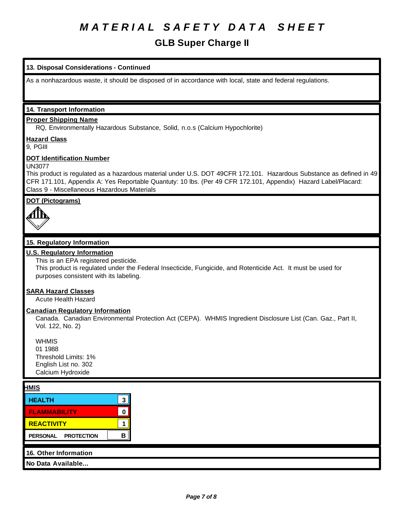# **GLB Super Charge II**

# **13. Disposal Considerations - Continued**

As a nonhazardous waste, it should be disposed of in accordance with local, state and federal regulations.

# **14. Transport Information**

### **Proper Shipping Name**

RQ, Environmentally Hazardous Substance, Solid, n.o.s (Calcium Hypochlorite)

# **Hazard Class**

9, PGIII

### **DOT Identification Number**

UN3077

This product is regulated as a hazardous material under U.S. DOT 49CFR 172.101. Hazardous Substance as defined in 49 CFR 171.101, Appendix A: Yes Reportable Quantuty: 10 lbs. (Per 49 CFR 172.101, Appendix) Hazard Label/Placard: Class 9 - Miscellaneous Hazardous Materials

# **DOT (Pictograms)**



# **15. Regulatory Information**

# **U.S. Regulatory Information**

### This is an EPA registered pesticide.

This product is regulated under the Federal Insecticide, Fungicide, and Rotenticide Act. It must be used for purposes consistent with its labeling.

#### **SARA Hazard Classes**

Acute Health Hazard

#### **Canadian Regulatory Information**

Canada. Canadian Environmental Protection Act (CEPA). WHMIS Ingredient Disclosure List (Can. Gaz., Part II, Vol. 122, No. 2)

**WHMIS** 01 1988 Threshold Limits: 1% English List no. 302 Calcium Hydroxide

# **HMIS**

| <b>HEALTH</b>       |  |
|---------------------|--|
| <b>FLAMMABILITY</b> |  |
| <b>REACTIVITY</b>   |  |
| PERSONAL PROTECTION |  |
|                     |  |

# **16. Other Information**

**No Data Available...**